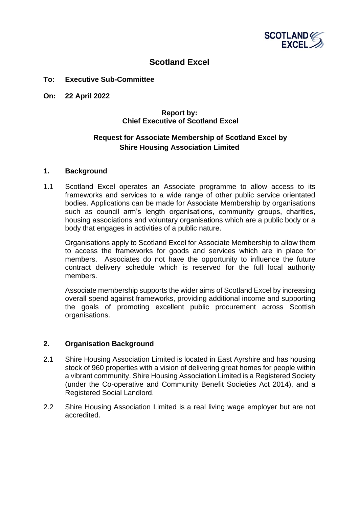

# **Scotland Excel**

#### **To: Executive Sub-Committee**

**On: 22 April 2022**

## **Report by: Chief Executive of Scotland Excel**

# **Request for Associate Membership of Scotland Excel by Shire Housing Association Limited**

#### **1. Background**

1.1 Scotland Excel operates an Associate programme to allow access to its frameworks and services to a wide range of other public service orientated bodies. Applications can be made for Associate Membership by organisations such as council arm's length organisations, community groups, charities, housing associations and voluntary organisations which are a public body or a body that engages in activities of a public nature.

Organisations apply to Scotland Excel for Associate Membership to allow them to access the frameworks for goods and services which are in place for members. Associates do not have the opportunity to influence the future contract delivery schedule which is reserved for the full local authority members.

Associate membership supports the wider aims of Scotland Excel by increasing overall spend against frameworks, providing additional income and supporting the goals of promoting excellent public procurement across Scottish organisations.

### **2. Organisation Background**

- 2.1 Shire Housing Association Limited is located in East Ayrshire and has housing stock of 960 properties with a vision of delivering great homes for people within a vibrant community. Shire Housing Association Limited is a Registered Society (under the Co-operative and Community Benefit Societies Act 2014), and a Registered Social Landlord.
- 2.2 Shire Housing Association Limited is a real living wage employer but are not accredited.